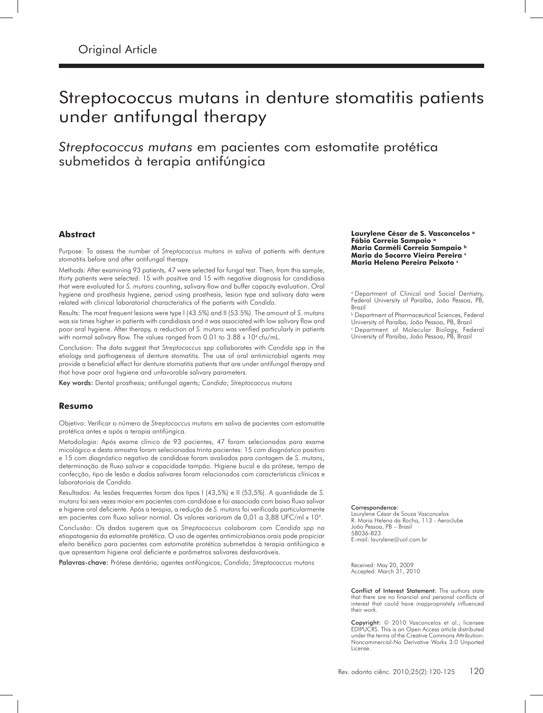# Streptococcus mutans in denture stomatitis patients under antifungal therapy

*Streptococcus mutans* em pacientes com estomatite protética submetidos à terapia antifúngica

#### **Abstract**

Purpose: To assess the number of *Streptococcus mutans* in saliva of patients with denture stomatitis before and after antifungal therapy.

Methods: After examining 93 patients, 47 were selected for fungal test. Then, from this sample, thirty patients were selected: 15 with positive and 15 with negative diagnosis for candidiasis that were evaluated for *S. mutans* counting, salivary flow and buffer capacity evaluation. Oral hygiene and prosthesis hygiene, period using prosthesis, lesion type and salivary data were related with clinical laboratorial characteristics of the patients with *Candida*.

Results: The most frequent lesions were type I (43.5%) and II (53.5%). The amount of *S. mutans* was six times higher in patients with candidiasis and it was associated with low salivary flow and poor oral hygiene. After therapy, a reduction of *S. mutans* was verified particularly in patients with normal salivary flow. The values ranged from 0.01 to 3.88 x 10<sup>4</sup> cfu/mL.

Conclusion: The data suggest that *Streptococcus* spp collaborates with *Candida* spp in the etiology and pathogenesis of denture stomatitis. The use of oral antimicrobial agents may provide a beneficial effect for denture stomatitis patients that are under antifungal therapy and that have poor oral hygiene and unfavorable salivary parameters.

Key words: Dental prosthesis; antifungal agents; *Candida*; *Streptococcus mutans*

#### **Resumo**

Objetivo: Verificar o número de *Streptococcus mutans* em saliva de pacientes com estomatite protética antes e após a terapia antifúngica.

Metodologia: Após exame clínico de 93 pacientes, 47 foram selecionados para exame micológico e desta amostra foram selecionados trinta pacientes: 15 com diagnóstico positivo e 15 com diagnóstico negativo de candidose foram avaliados para contagem de *S. mutans*, determinação de fluxo salivar e capacidade tampão. Higiene bucal e da prótese, tempo de confecção, tipo de lesão e dados salivares foram relacionados com características clínicas e laboratoriais de *Candida*.

Resultados: As lesões frequentes foram dos tipos I (43,5%) e II (53,5%). A quantidade de *S. mutans* foi seis vezes maior em pacientes com candidose e foi associada com baixo fluxo salivar e higiene oral deficiente. Após a terapia, a redução de *S. mutans* foi verificada particularmente em pacientes com fluxo salivar normal. Os valores variaram de 0,01 a 3,88 UFC/ml x 104.

Conclusão: Os dados sugerem que os *Streptococcus* colaboram com *Candida spp* na etiopatogenia da estomatite protética. O uso de agentes antimicrobianos orais pode propiciar efeito benéfico para pacientes com estomatite protética submetidos à terapia antifúngica e que apresentam higiene oral deficiente e parâmetros salivares desfavoráveis.

Palavras-chave: Prótese dentária; agentes antifúngicos; *Candida*; *Streptococcus mutans*

#### **Laurylene César de S. Vasconcelos a Fábio Correia Sampaio a Maria Carméli Correia Sampaio b Maria do Socorro Vieira Pereira c Maria Helena Pereira Peixoto c**

<sup>a</sup> Department of Clinical and Social Dentistry, Federal University of Paraíba, João Pessoa, PB, Brazil

<sup>b</sup> Department of Pharmaceutical Sciences, Federal University of Paraíba, João Pessoa, PB, Brazil <sup>c</sup> Department of Molecular Biology, Federal

University of Paraíba, João Pessoa, PB, Brazil

#### Correspondence:

Laurylene César de Souza Vasconcelos R. Maria Helena da Rocha, 113 - Aeroclube João Pessoa, PB – Brasil 58036-823 E-mail: laurylene@uol.com.br

Received: May 20, 2009 Accepted: March 31, 2010

Conflict of Interest Statement: The authors state that there are no financial and personal conflicts of interest that could have inappropriately influenced their work.

Copyright: © 2010 Vasconcelos et al.; licensee EDIPUCRS. This is an Open Access article distributed under the terms of the Creative Commons Attribution-Noncommercial-No Derivative Works 3.0 Unported License.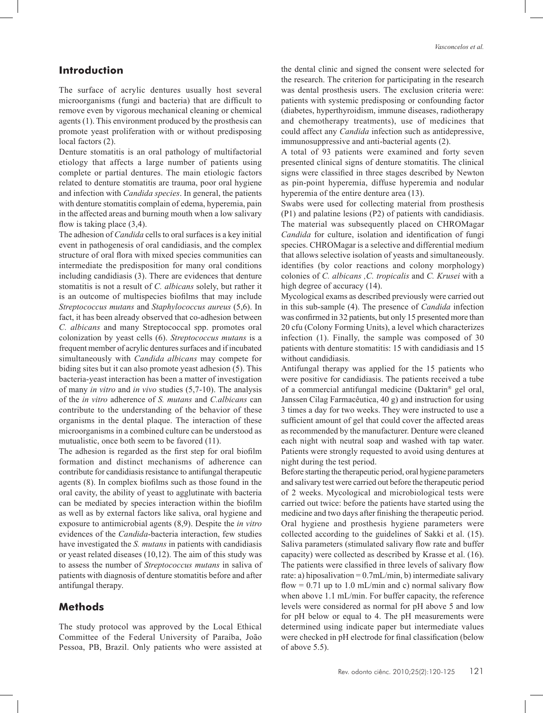# **Introduction**

The surface of acrylic dentures usually host several microorganisms (fungi and bacteria) that are difficult to remove even by vigorous mechanical cleaning or chemical agents (1). This environment produced by the prosthesis can promote yeast proliferation with or without predisposing local factors  $(2)$ .

Denture stomatitis is an oral pathology of multifactorial etiology that affects a large number of patients using complete or partial dentures. The main etiologic factors related to denture stomatitis are trauma, poor oral hygiene and infection with *Candida species*. In general, the patients with denture stomatitis complain of edema, hyperemia, pain in the affected areas and burning mouth when a low salivary flow is taking place  $(3,4)$ .

The adhesion of *Candida* cells to oral surfaces is a key initial event in pathogenesis of oral candidiasis, and the complex structure of oral flora with mixed species communities can intermediate the predisposition for many oral conditions including candidiasis (3). There are evidences that denture stomatitis is not a result of *C. albicans* solely, but rather it is an outcome of multispecies biofilms that may include *Streptococcus mutans* and *Staphylococcus aureus* (5,6). In fact, it has been already observed that co-adhesion between *C. albicans* and many Streptococcal spp. promotes oral colonization by yeast cells (6). *Streptococcus mutans* is a frequent member of acrylic dentures surfaces and if incubated simultaneously with *Candida albicans* may compete for biding sites but it can also promote yeast adhesion (5). This bacteria-yeast interaction has been a matter of investigation of many *in vitro* and *in vivo* studies (5,7-10). The analysis of the *in vitro* adherence of *S. mutans* and *C.albicans* can contribute to the understanding of the behavior of these organisms in the dental plaque. The interaction of these microorganisms in a combined culture can be understood as mutualistic, once both seem to be favored (11).

The adhesion is regarded as the first step for oral biofilm formation and distinct mechanisms of adherence can contribute for candidiasis resistance to antifungal therapeutic agents (8). In complex biofilms such as those found in the oral cavity, the ability of yeast to agglutinate with bacteria can be mediated by species interaction within the biofilm as well as by external factors like saliva, oral hygiene and exposure to antimicrobial agents (8,9). Despite the *in vitro* evidences of the *Candida*-bacteria interaction, few studies have investigated the *S. mutans* in patients with candidiasis or yeast related diseases (10,12). The aim of this study was to assess the number of *Streptococcus mutans* in saliva of patients with diagnosis of denture stomatitis before and after antifungal therapy.

## **Methods**

The study protocol was approved by the Local Ethical Committee of the Federal University of Paraíba, João Pessoa, PB, Brazil. Only patients who were assisted at the dental clinic and signed the consent were selected for the research. The criterion for participating in the research was dental prosthesis users. The exclusion criteria were: patients with systemic predisposing or confounding factor (diabetes, hyperthyroidism, immune diseases, radiotherapy and chemotherapy treatments), use of medicines that could affect any *Candida* infection such as antidepressive, immunosuppressive and anti-bacterial agents (2).

A total of 93 patients were examined and forty seven presented clinical signs of denture stomatitis. The clinical signs were classified in three stages described by Newton as pin-point hyperemia, diffuse hyperemia and nodular hyperemia of the entire denture area (13).

Swabs were used for collecting material from prosthesis (P1) and palatine lesions (P2) of patients with candidiasis. The material was subsequently placed on CHROMagar *Candida* for culture, isolation and identification of fungi species. CHROMagar is a selective and differential medium that allows selective isolation of yeasts and simultaneously. identifies (by color reactions and colony morphology) colonies of *C. albicans ,C. tropicalis* and *C. Krusei* with a high degree of accuracy (14).

Mycological exams as described previously were carried out in this sub-sample (4). The presence of *Candida* infection was confirmed in 32 patients, but only 15 presented more than 20 cfu (Colony Forming Units), a level which characterizes infection (1). Finally, the sample was composed of 30 patients with denture stomatitis: 15 with candidiasis and 15 without candidiasis.

Antifungal therapy was applied for the 15 patients who were positive for candidiasis. The patients received a tube of a commercial antifungal medicine (Daktarin® gel oral, Janssen Cilag Farmacêutica, 40 g) and instruction for using 3 times a day for two weeks. They were instructed to use a sufficient amount of gel that could cover the affected areas as recommended by the manufacturer. Denture were cleaned each night with neutral soap and washed with tap water. Patients were strongly requested to avoid using dentures at night during the test period.

Before starting the therapeutic period, oral hygiene parameters and salivary test were carried out before the therapeutic period of 2 weeks. Mycological and microbiological tests were carried out twice: before the patients have started using the medicine and two days after finishing the therapeutic period. Oral hygiene and prosthesis hygiene parameters were collected according to the guidelines of Sakki et al. (15). Saliva parameters (stimulated salivary flow rate and buffer capacity) were collected as described by Krasse et al. (16). The patients were classified in three levels of salivary flow rate: a) hiposalivation =  $0.7$ mL/min, b) intermediate salivary flow =  $0.71$  up to 1.0 mL/min and c) normal salivary flow when above 1.1 mL/min. For buffer capacity, the reference levels were considered as normal for pH above 5 and low for pH below or equal to 4. The pH measurements were determined using indicate paper but intermediate values were checked in pH electrode for final classification (below of above 5.5).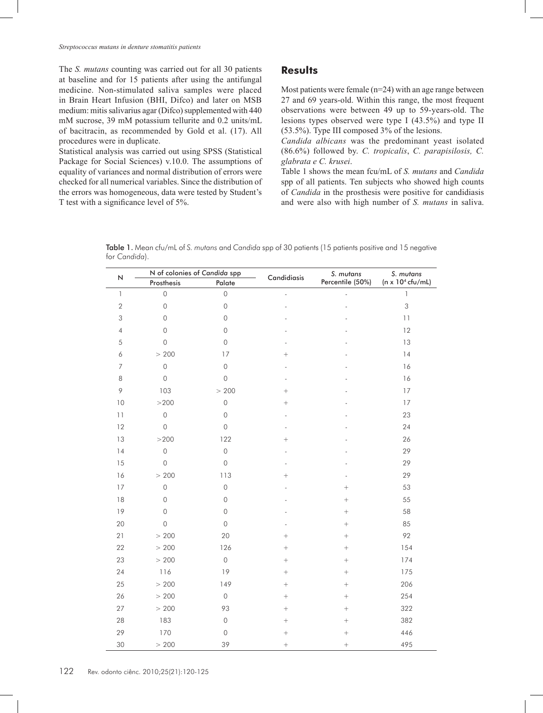The *S. mutans* counting was carried out for all 30 patients at baseline and for 15 patients after using the antifungal medicine. Non-stimulated saliva samples were placed in Brain Heart Infusion (BHI, Difco) and later on MSB medium: mitis salivarius agar (Difco) supplemented with 440 mM sucrose, 39 mM potassium tellurite and 0.2 units/mL of bacitracin, as recommended by Gold et al. (17). All procedures were in duplicate.

Statistical analysis was carried out using SPSS (Statistical Package for Social Sciences) v.10.0. The assumptions of equality of variances and normal distribution of errors were checked for all numerical variables. Since the distribution of the errors was homogeneous, data were tested by Student's T test with a significance level of 5%.

### **Results**

Most patients were female  $(n=24)$  with an age range between 27 and 69 years-old. Within this range, the most frequent observations were between 49 up to 59-years-old. The lesions types observed were type I (43.5%) and type II (53.5%). Type III composed 3% of the lesions.

*Candida albicans* was the predominant yeast isolated (86.6%) followed by. *C. tropicalis*, *C. parapisilosis, C. glabrata e C. krusei*.

Table 1 shows the mean fcu/mL of *S. mutans* and *Candida*  spp of all patients. Ten subjects who showed high counts of *Candida* in the prosthesis were positive for candidiasis and were also with high number of *S. mutans* in saliva.

|               | Table 1. Mean cfu/mL of S. mutans and Candida spp of 30 patients (15 patients positive and 15 negative |  |  |  |
|---------------|--------------------------------------------------------------------------------------------------------|--|--|--|
| for Candida). |                                                                                                        |  |  |  |

| N of colonies of Candida spp |                     |                     | S. mutans       | S. mutans        |                                   |
|------------------------------|---------------------|---------------------|-----------------|------------------|-----------------------------------|
| $\boldsymbol{\mathsf{N}}$    | Prosthesis          | Palate              | Candidiasis     | Percentile (50%) | $(n \times 10^4 \text{ cftv/mL})$ |
| $\mathbf{1}$                 | $\mathsf O$         | $\circ$             |                 |                  | $\mathbb{I}$                      |
| $\sqrt{2}$                   | $\overline{0}$      | $\mathsf{O}\xspace$ |                 |                  | 3                                 |
| 3                            | 0                   | 0                   |                 |                  | 11                                |
| 4                            | $\mathsf{O}\xspace$ | $\mathsf{O}\xspace$ |                 |                  | 12                                |
| 5                            | $\mathsf{O}\xspace$ | $\mathsf{O}\xspace$ |                 |                  | 13                                |
| 6                            | > 200               | 17                  | $^{+}$          |                  | 14                                |
| 7                            | $\mathsf O$         | $\mathbf 0$         |                 |                  | 16                                |
| 8                            | $\mathsf{O}$        | $\mathsf O$         |                 |                  | 16                                |
| 9                            | 103                 | > 200               | $\! + \!\!\!\!$ |                  | 17                                |
| 10                           | >200                | $\mathsf O$         | $^{+}$          |                  | 17                                |
| 11                           | $\mathsf{O}$        | $\circ$             |                 |                  | 23                                |
| 12                           | $\overline{0}$      | $\mathbf 0$         |                 |                  | 24                                |
| 13                           | >200                | 122                 | $^{+}$          |                  | 26                                |
| 14                           | $\mathsf{O}$        | $\mathsf O$         |                 |                  | 29                                |
| 15                           | $\mathsf{O}\xspace$ | $\mathsf{O}\xspace$ |                 |                  | 29                                |
| 16                           | > 200               | 113                 | $^{+}$          |                  | 29                                |
| 17                           | $\mathsf O$         | $\mathsf O$         |                 | $^+$             | 53                                |
| 18                           | $\mathsf{O}\xspace$ | 0                   |                 | $^{+}$           | 55                                |
| 19                           | 0                   | $\mathsf{O}\xspace$ |                 | $^{+}$           | 58                                |
| 20                           | $\mathsf{O}\xspace$ | $\circ$             |                 | $^{+}$           | 85                                |
| 21                           | > 200               | 20                  | $^{+}$          | $^{+}$           | 92                                |
| 22                           | > 200               | 126                 | $^{+}$          | $^+$             | 154                               |
| 23                           | > 200               | $\mathsf O$         | $\! + \!\!\!\!$ | $^{+}$           | 174                               |
| 24                           | 116                 | 19                  | $\! + \!\!\!\!$ | $^{+}$           | 175                               |
| 25                           | > 200               | 149                 | $\! + \!\!\!\!$ | $^+$             | 206                               |
| 26                           | >200                | $\mathsf{O}$        | $\! + \!\!\!\!$ | $^{+}$           | 254                               |
| 27                           | > 200               | 93                  | $^{+}$          | $^{+}$           | 322                               |
| 28                           | 183                 | $\mathsf O$         | $^{+}$          | $^{+}$           | 382                               |
| 29                           | 170                 | $\mathbf 0$         | $^{+}$          | $^{+}$           | 446                               |
| 30                           | > 200               | 39                  | $\! + \!\!\!\!$ | $\! + \!\!\!\!$  | 495                               |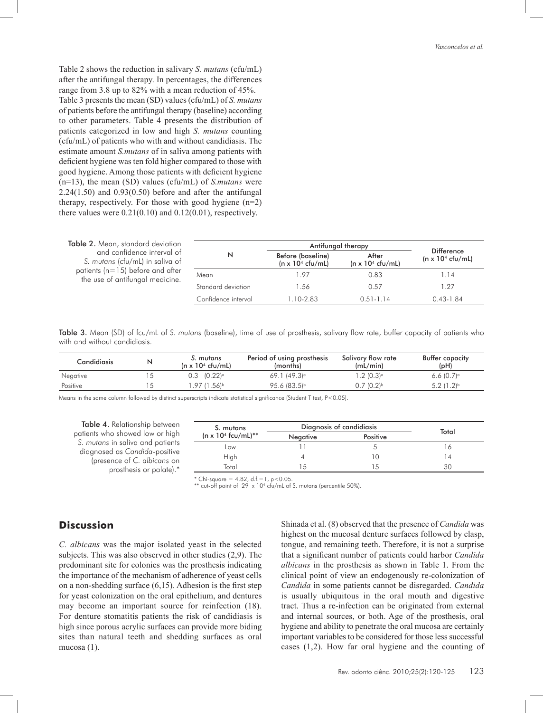Table 2 shows the reduction in salivary *S. mutans* (cfu/mL) after the antifungal therapy. In percentages, the differences range from 3.8 up to 82% with a mean reduction of 45%. Table 3 presents the mean (SD) values (cfu/mL) of *S. mutans* of patients before the antifungal therapy (baseline) according to other parameters. Table 4 presents the distribution of patients categorized in low and high *S. mutans* counting (cfu/mL) of patients who with and without candidiasis. The estimate amount *S.mutans* of in saliva among patients with deficient hygiene was ten fold higher compared to those with good hygiene. Among those patients with deficient hygiene (n=13), the mean (SD) values (cfu/mL) of *S.mutans* were 2.24(1.50) and 0.93(0.50) before and after the antifungal therapy, respectively. For those with good hygiene (n=2) there values were  $0.21(0.10)$  and  $0.12(0.01)$ , respectively.

| <b>Table 2.</b> Mean, standard deviation                                  |                     | Antifungal therapy                      |                             | <b>Difference</b>  |
|---------------------------------------------------------------------------|---------------------|-----------------------------------------|-----------------------------|--------------------|
| and confidence interval of<br>S. mutans (cfu/mL) in saliva of             |                     | Before (baseline)<br>(n x $104$ cfu/mL) | After<br>(n x $104$ cfu/mL) | (n x $104$ cfu/mL) |
| patients ( $n = 15$ ) before and after<br>the use of antifungal medicine. | Mean                | - 97                                    | 0.83                        | 1.14               |
|                                                                           | Standard deviation  | 1.56                                    | 0.57                        | 1.27               |
|                                                                           | Confidence interval | $10-2.83$                               | $0.51 - 1.14$               | $0.43 - 1.84$      |

Table 3. Mean (SD) of fcu/mL of *S. mutans* (baseline), time of use of prosthesis, salivary flow rate, buffer capacity of patients who with and without candidiasis.

| Candidiasis | S. mutans<br>(n $\times$ 10 <sup>4</sup> cfu/mL) | Period of using prosthesis<br>(months) | Salivary flow rate<br>(mL/min) | Buffer capacity<br>(pH)  |
|-------------|--------------------------------------------------|----------------------------------------|--------------------------------|--------------------------|
| Negative    | $0.3$ $(0.22)^{\circ}$                           | 69.1 $(49.3)^\circ$                    | $1.2(0.3)^\circ$               | 6.6 $(0.7)$ <sup>a</sup> |
| Positive    | $.97(1.56)^{b}$                                  | $95.6(83.5)^{b}$                       | $0.7(0.2)^{b}$                 | $5.2(1.2)^{b}$           |

Means in the same column followed by distinct superscripts indicate statistical significance (Student T test, P<0.05).

| <b>Table 4.</b> Relationship between                                                                                        | S. mutans                             | Diagnosis of candidiasis |          | Total |
|-----------------------------------------------------------------------------------------------------------------------------|---------------------------------------|--------------------------|----------|-------|
| patients who showed low or high                                                                                             | $(n \times 10^4 \text{ few/mL})^{**}$ | Negative                 | Positive |       |
| S. mutans in saliva and patients<br>diagnosed as Candida-positive<br>(presence of C. albicans on<br>prosthesis or palate).* | Low                                   |                          |          |       |
|                                                                                                                             | High                                  |                          |          |       |
|                                                                                                                             | Total                                 |                          |          | 30    |

\* Chi-square = 4.82, d.f.=1, p<0.05. \*\* cut-off point of 29 x 104 cfu/mL of S. mutans (percentile 50%).

# **Discussion**

*C. albicans* was the major isolated yeast in the selected subjects. This was also observed in other studies (2,9). The predominant site for colonies was the prosthesis indicating the importance of the mechanism of adherence of yeast cells on a non-shedding surface (6,15). Adhesion is the first step for yeast colonization on the oral epithelium, and dentures may become an important source for reinfection (18). For denture stomatitis patients the risk of candidiasis is high since porous acrylic surfaces can provide more biding sites than natural teeth and shedding surfaces as oral mucosa (1).

Shinada et al. (8) observed that the presence of *Candida* was highest on the mucosal denture surfaces followed by clasp, tongue, and remaining teeth. Therefore, it is not a surprise that a significant number of patients could harbor *Candida albicans* in the prosthesis as shown in Table 1. From the clinical point of view an endogenously re-colonization of *Candida* in some patients cannot be disregarded. *Candida* is usually ubiquitous in the oral mouth and digestive tract. Thus a re-infection can be originated from external and internal sources, or both. Age of the prosthesis, oral hygiene and ability to penetrate the oral mucosa are certainly important variables to be considered for those less successful cases (1,2). How far oral hygiene and the counting of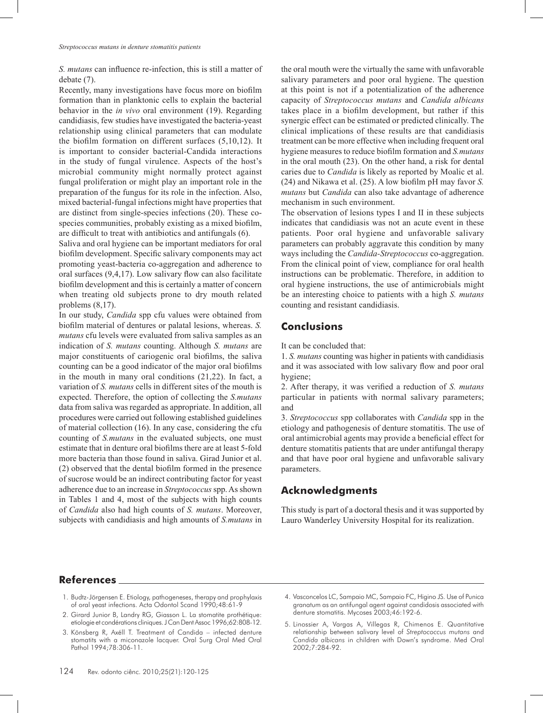*S. mutans* can influence re-infection, this is still a matter of debate (7).

Recently, many investigations have focus more on biofilm formation than in planktonic cells to explain the bacterial behavior in the *in vivo* oral environment (19). Regarding candidiasis, few studies have investigated the bacteria-yeast relationship using clinical parameters that can modulate the biofilm formation on different surfaces (5,10,12). It is important to consider bacterial-Candida interactions in the study of fungal virulence. Aspects of the host's microbial community might normally protect against fungal proliferation or might play an important role in the preparation of the fungus for its role in the infection. Also, mixed bacterial-fungal infections might have properties that are distinct from single-species infections (20). These cospecies communities, probably existing as a mixed biofilm, are difficult to treat with antibiotics and antifungals (6).

Saliva and oral hygiene can be important mediators for oral biofilm development. Specific salivary components may act promoting yeast-bacteria co-aggregation and adherence to oral surfaces (9,4,17). Low salivary flow can also facilitate biofilm development and this is certainly a matter of concern when treating old subjects prone to dry mouth related problems (8,17).

In our study, *Candida* spp cfu values were obtained from biofilm material of dentures or palatal lesions, whereas. *S. mutans* cfu levels were evaluated from saliva samples as an indication of *S. mutans* counting. Although *S. mutans* are major constituents of cariogenic oral biofilms, the saliva counting can be a good indicator of the major oral biofilms in the mouth in many oral conditions (21,22). In fact, a variation of *S. mutans* cells in different sites of the mouth is expected. Therefore, the option of collecting the *S.mutans* data from saliva was regarded as appropriate. In addition, all procedures were carried out following established guidelines of material collection (16). In any case, considering the cfu counting of *S.mutans* in the evaluated subjects, one must estimate that in denture oral biofilms there are at least 5-fold more bacteria than those found in saliva. Girad Junior et al. (2) observed that the dental biofilm formed in the presence of sucrose would be an indirect contributing factor for yeast adherence due to an increase in *Streptococcus* spp. As shown in Tables 1 and 4, most of the subjects with high counts of *Candida* also had high counts of *S. mutans*. Moreover, subjects with candidiasis and high amounts of *S.mutans* in the oral mouth were the virtually the same with unfavorable salivary parameters and poor oral hygiene. The question at this point is not if a potentialization of the adherence capacity of *Streptococcus mutans* and *Candida albicans*  takes place in a biofilm development, but rather if this synergic effect can be estimated or predicted clinically. The clinical implications of these results are that candidiasis treatment can be more effective when including frequent oral hygiene measures to reduce biofilm formation and *S.mutans* in the oral mouth (23). On the other hand, a risk for dental caries due to *Candida* is likely as reported by Moalic et al. (24) and Nikawa et al. (25). A low biofilm pH may favor *S. mutans* but *Candida* can also take advantage of adherence mechanism in such environment.

The observation of lesions types I and II in these subjects indicates that candidiasis was not an acute event in these patients. Poor oral hygiene and unfavorable salivary parameters can probably aggravate this condition by many ways including the *Candida-Streptococcus* co-aggregation. From the clinical point of view, compliance for oral health instructions can be problematic. Therefore, in addition to oral hygiene instructions, the use of antimicrobials might be an interesting choice to patients with a high *S. mutans* counting and resistant candidiasis.

# **Conclusions**

It can be concluded that:

1. *S. mutans* counting was higher in patients with candidiasis and it was associated with low salivary flow and poor oral hygiene;

2. After therapy, it was verified a reduction of *S. mutans* particular in patients with normal salivary parameters; and

3. *Streptococcus* spp collaborates with *Candida* spp in the etiology and pathogenesis of denture stomatitis. The use of oral antimicrobial agents may provide a beneficial effect for denture stomatitis patients that are under antifungal therapy and that have poor oral hygiene and unfavorable salivary parameters.

# **Acknowledgments**

This study is part of a doctoral thesis and it was supported by Lauro Wanderley University Hospital for its realization.

## **References**

- 1. Budtz-Jörgensen E. Etiology, pathogeneses, therapy and prophylaxis of oral yeast infections. Acta Odontol Scand 1990;48:61-9
- 2. Girard Junior B, Landry RG, Giasson L. La stomatite prothétique: etiologie et condérations cliniques. J Can Dent Assoc 1996;62:808-12.
- 3. Könsberg R, Axéll T. Treatment of Candida infected denture stomatits with a miconazole lacquer. Oral Surg Oral Med Oral Pathol 1994;78:306-11.
- 4. Vasconcelos LC, Sampaio MC, Sampaio FC, Higino JS. Use of Punica granatum as an antifungal agent against candidosis associated with denture stomatitis. Mycoses 2003;46:192-6.
- 5. Linossier A, Vargas A, Villegas R, Chimenos E. Quantitative relationship between salivary level of *Streptococcus mutans* and *Candida albicans* in children with Down's syndrome. Med Oral 2002;7:284-92.